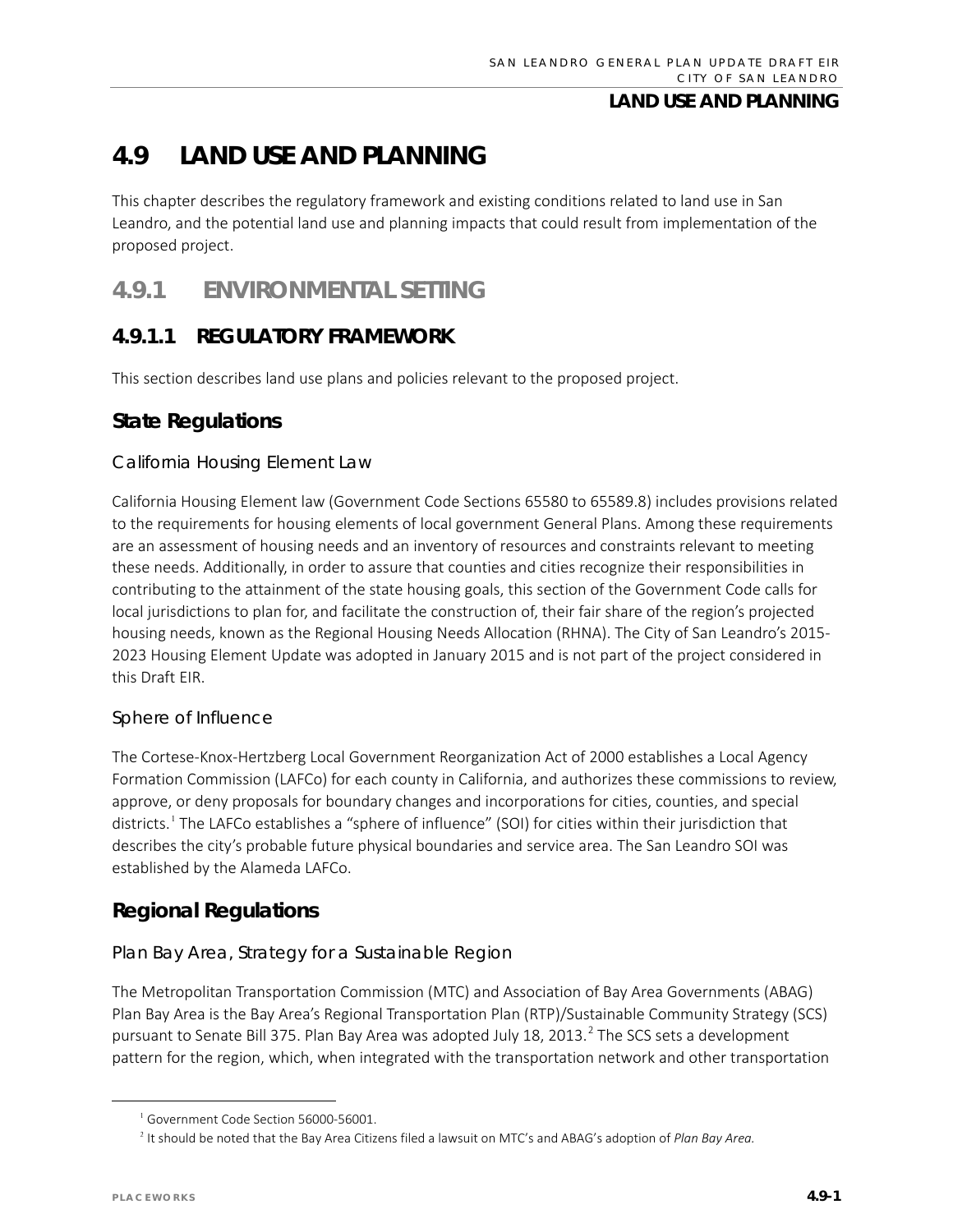# **4.9 LAND USE AND PLANNING**

This chapter describes the regulatory framework and existing conditions related to land use in San Leandro, and the potential land use and planning impacts that could result from implementation of the proposed project.

# **4.9.1 ENVIRONMENTAL SETTING**

### **4.9.1.1 REGULATORY FRAMEWORK**

This section describes land use plans and policies relevant to the proposed project.

### **State Regulations**

#### *California Housing Element Law*

California Housing Element law (Government Code Sections 65580 to 65589.8) includes provisions related to the requirements for housing elements of local government General Plans. Among these requirements are an assessment of housing needs and an inventory of resources and constraints relevant to meeting these needs. Additionally, in order to assure that counties and cities recognize their responsibilities in contributing to the attainment of the state housing goals, this section of the Government Code calls for local jurisdictions to plan for, and facilitate the construction of, their fair share of the region's projected housing needs, known as the Regional Housing Needs Allocation (RHNA). The City of San Leandro's 2015- 2023 Housing Element Update was adopted in January 2015 and is not part of the project considered in this Draft EIR.

#### *Sphere of Influence*

The Cortese-Knox-Hertzberg Local Government Reorganization Act of 2000 establishes a Local Agency Formation Commission (LAFCo) for each county in California, and authorizes these commissions to review, approve, or deny proposals for boundary changes and incorporations for cities, counties, and special districts.[1](#page-0-0) The LAFCo establishes a "sphere of influence" (SOI) for cities within their jurisdiction that describes the city's probable future physical boundaries and service area. The San Leandro SOI was established by the Alameda LAFCo.

### **Regional Regulations**

### *Plan Bay Area, Strategy for a Sustainable Region*

The Metropolitan Transportation Commission (MTC) and Association of Bay Area Governments (ABAG) Plan Bay Area is the Bay Area's Regional Transportation Plan (RTP)/Sustainable Community Strategy (SCS) pursuant to Senate Bill 375. Plan Bay Area was adopted July 18, [2](#page-0-1)013.<sup>2</sup> The SCS sets a development pattern for the region, which, when integrated with the transportation network and other transportation

<sup>&</sup>lt;sup>1</sup> Government Code Section 56000-56001.

<span id="page-0-1"></span><span id="page-0-0"></span><sup>2</sup> It should be noted that the Bay Area Citizens filed a lawsuit on MTC's and ABAG's adoption of *Plan Bay Area.*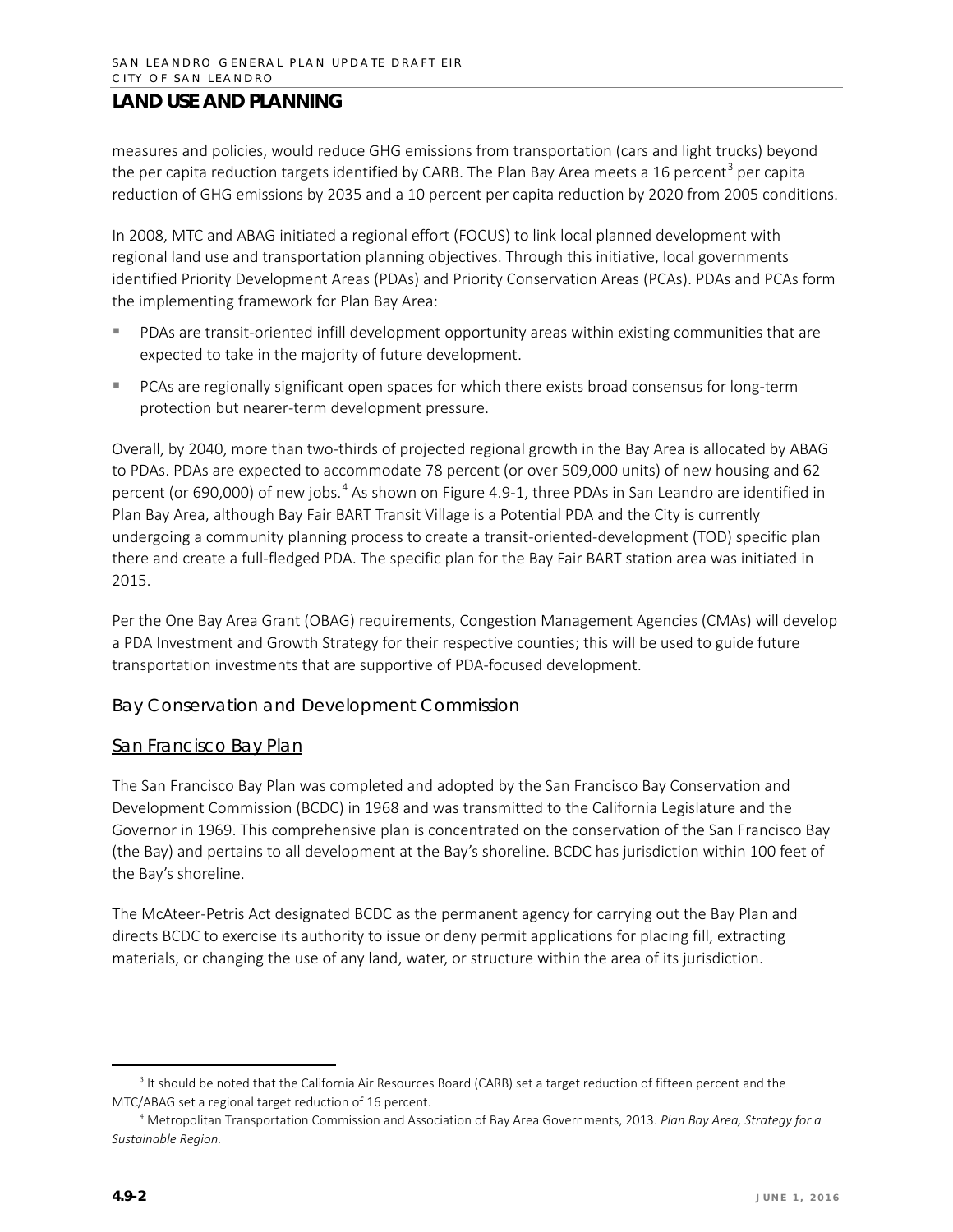measures and policies, would reduce GHG emissions from transportation (cars and light trucks) beyond the per capita reduction targets identified by CARB. The Plan Bay Area meets a 16 percent<sup>[3](#page-1-0)</sup> per capita reduction of GHG emissions by 2035 and a 10 percent per capita reduction by 2020 from 2005 conditions.

In 2008, MTC and ABAG initiated a regional effort (FOCUS) to link local planned development with regional land use and transportation planning objectives. Through this initiative, local governments identified Priority Development Areas (PDAs) and Priority Conservation Areas (PCAs). PDAs and PCAs form the implementing framework for Plan Bay Area:

- PDAs are transit-oriented infill development opportunity areas within existing communities that are expected to take in the majority of future development.
- **PCAs are regionally significant open spaces for which there exists broad consensus for long-term** protection but nearer-term development pressure.

Overall, by 2040, more than two-thirds of projected regional growth in the Bay Area is allocated by ABAG to PDAs. PDAs are expected to accommodate 78 percent (or over 509,000 units) of new housing and 62 percent (or 690,000) of new jobs.<sup>[4](#page-1-1)</sup> As shown on Figure 4.9-1, three PDAs in San Leandro are identified in Plan Bay Area, although Bay Fair BART Transit Village is a Potential PDA and the City is currently undergoing a community planning process to create a transit-oriented-development (TOD) specific plan there and create a full-fledged PDA. The specific plan for the Bay Fair BART station area was initiated in 2015.

Per the One Bay Area Grant (OBAG) requirements, Congestion Management Agencies (CMAs) will develop a PDA Investment and Growth Strategy for their respective counties; this will be used to guide future transportation investments that are supportive of PDA-focused development.

#### *Bay Conservation and Development Commission*

#### San Francisco Bay Plan

The San Francisco Bay Plan was completed and adopted by the San Francisco Bay Conservation and Development Commission (BCDC) in 1968 and was transmitted to the California Legislature and the Governor in 1969. This comprehensive plan is concentrated on the conservation of the San Francisco Bay (the Bay) and pertains to all development at the Bay's shoreline. BCDC has jurisdiction within 100 feet of the Bay's shoreline.

The McAteer-Petris Act designated BCDC as the permanent agency for carrying out the Bay Plan and directs BCDC to exercise its authority to issue or deny permit applications for placing fill, extracting materials, or changing the use of any land, water, or structure within the area of its jurisdiction.

<span id="page-1-0"></span><sup>&</sup>lt;sup>3</sup> It should be noted that the California Air Resources Board (CARB) set a target reduction of fifteen percent and the MTC/ABAG set a regional target reduction of 16 percent.

<span id="page-1-1"></span><sup>4</sup> Metropolitan Transportation Commission and Association of Bay Area Governments, 2013. *Plan Bay Area, Strategy for a Sustainable Region.*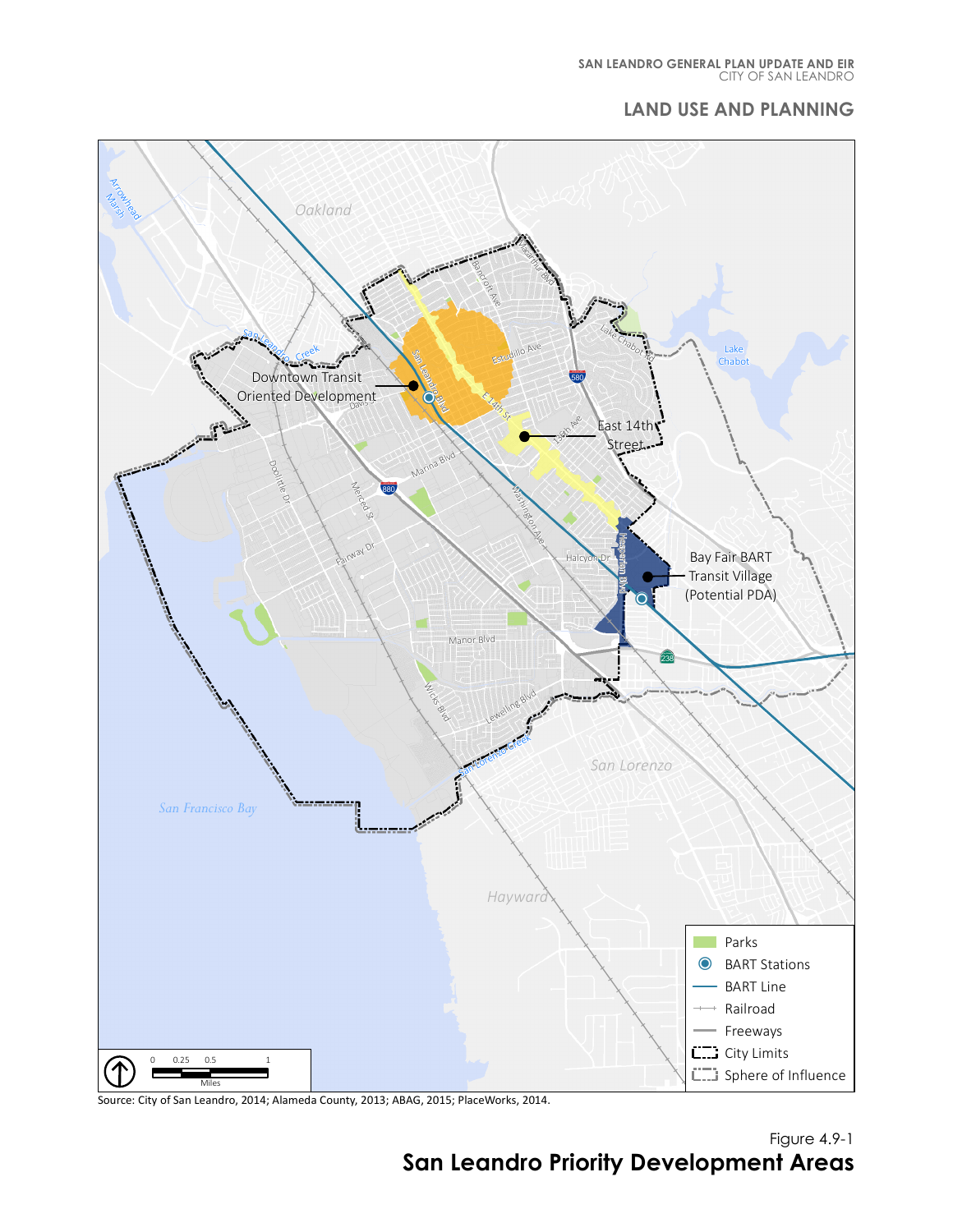#### CITY OF SAN LEANDRO **SAN LEANDRO GENERAL PLAN UPDATE AND EIR**

#### **LAND USE AND PLANNING**



Source: City of San Leandro, 2014; Alameda County, 2013; ABAG, 2015; PlaceWorks, 2014.

Figure 4.9-1 **San Leandro Priority Development Areas**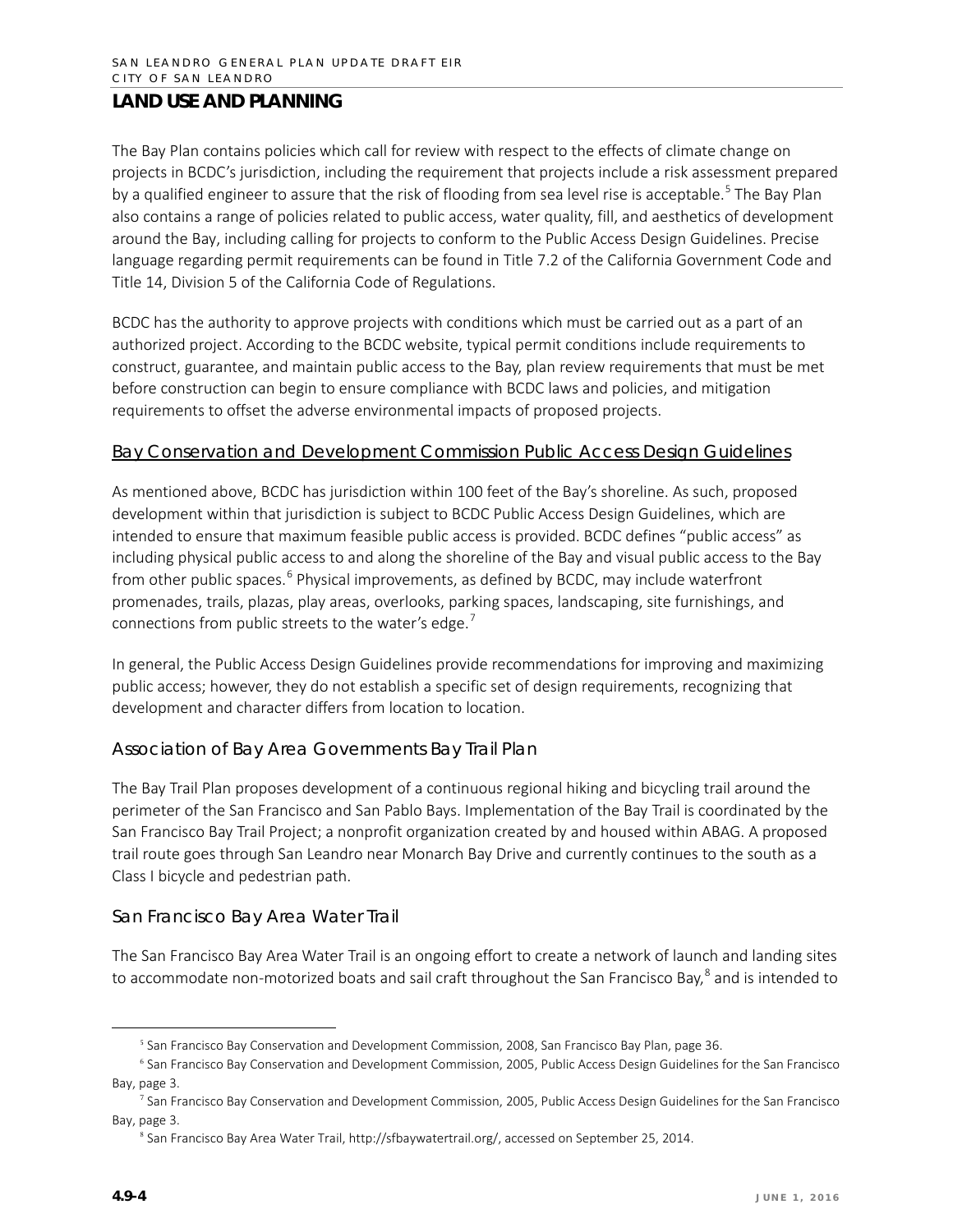The Bay Plan contains policies which call for review with respect to the effects of climate change on projects in BCDC's jurisdiction, including the requirement that projects include a risk assessment prepared by a qualified engineer to assure that the risk of flooding from sea level rise is acceptable.<sup>[5](#page-3-0)</sup> The Bay Plan also contains a range of policies related to public access, water quality, fill, and aesthetics of development around the Bay, including calling for projects to conform to the Public Access Design Guidelines. Precise language regarding permit requirements can be found in Title 7.2 of the California Government Code and Title 14, Division 5 of the California Code of Regulations.

BCDC has the authority to approve projects with conditions which must be carried out as a part of an authorized project. According to the BCDC website, typical permit conditions include requirements to construct, guarantee, and maintain public access to the Bay, plan review requirements that must be met before construction can begin to ensure compliance with BCDC laws and policies, and mitigation requirements to offset the adverse environmental impacts of proposed projects.

#### Bay Conservation and Development Commission Public Access Design Guidelines

As mentioned above, BCDC has jurisdiction within 100 feet of the Bay's shoreline. As such, proposed development within that jurisdiction is subject to BCDC Public Access Design Guidelines, which are intended to ensure that maximum feasible public access is provided. BCDC defines "public access" as including physical public access to and along the shoreline of the Bay and visual public access to the Bay from other public spaces.<sup>[6](#page-3-1)</sup> Physical improvements, as defined by BCDC, may include waterfront promenades, trails, plazas, play areas, overlooks, parking spaces, landscaping, site furnishings, and connections from public streets to the water's edge.<sup>[7](#page-3-2)</sup>

In general, the Public Access Design Guidelines provide recommendations for improving and maximizing public access; however, they do not establish a specific set of design requirements, recognizing that development and character differs from location to location.

#### *Association of Bay Area Governments Bay Trail Plan*

The Bay Trail Plan proposes development of a continuous regional hiking and bicycling trail around the perimeter of the San Francisco and San Pablo Bays. Implementation of the Bay Trail is coordinated by the San Francisco Bay Trail Project; a nonprofit organization created by and housed within ABAG. A proposed trail route goes through San Leandro near Monarch Bay Drive and currently continues to the south as a Class I bicycle and pedestrian path.

#### *San Francisco Bay Area Water Trail*

The San Francisco Bay Area Water Trail is an ongoing effort to create a network of launch and landing sites to accommodate non-motorized boats and sail craft throughout the San Francisco Bay,<sup>[8](#page-3-3)</sup> and is intended to

<sup>&</sup>lt;sup>5</sup> San Francisco Bay Conservation and Development Commission, 2008, San Francisco Bay Plan, page 36.

<span id="page-3-1"></span><span id="page-3-0"></span><sup>6</sup> San Francisco Bay Conservation and Development Commission, 2005, Public Access Design Guidelines for the San Francisco Bay, page 3.

<span id="page-3-3"></span><span id="page-3-2"></span><sup>&</sup>lt;sup>7</sup> San Francisco Bay Conservation and Development Commission, 2005, Public Access Design Guidelines for the San Francisco Bay, page 3.

<sup>8</sup> San Francisco Bay Area Water Trail[, http://sfbaywatertrail.org/,](http://sfbaywatertrail.org/) accessed on September 25, 2014.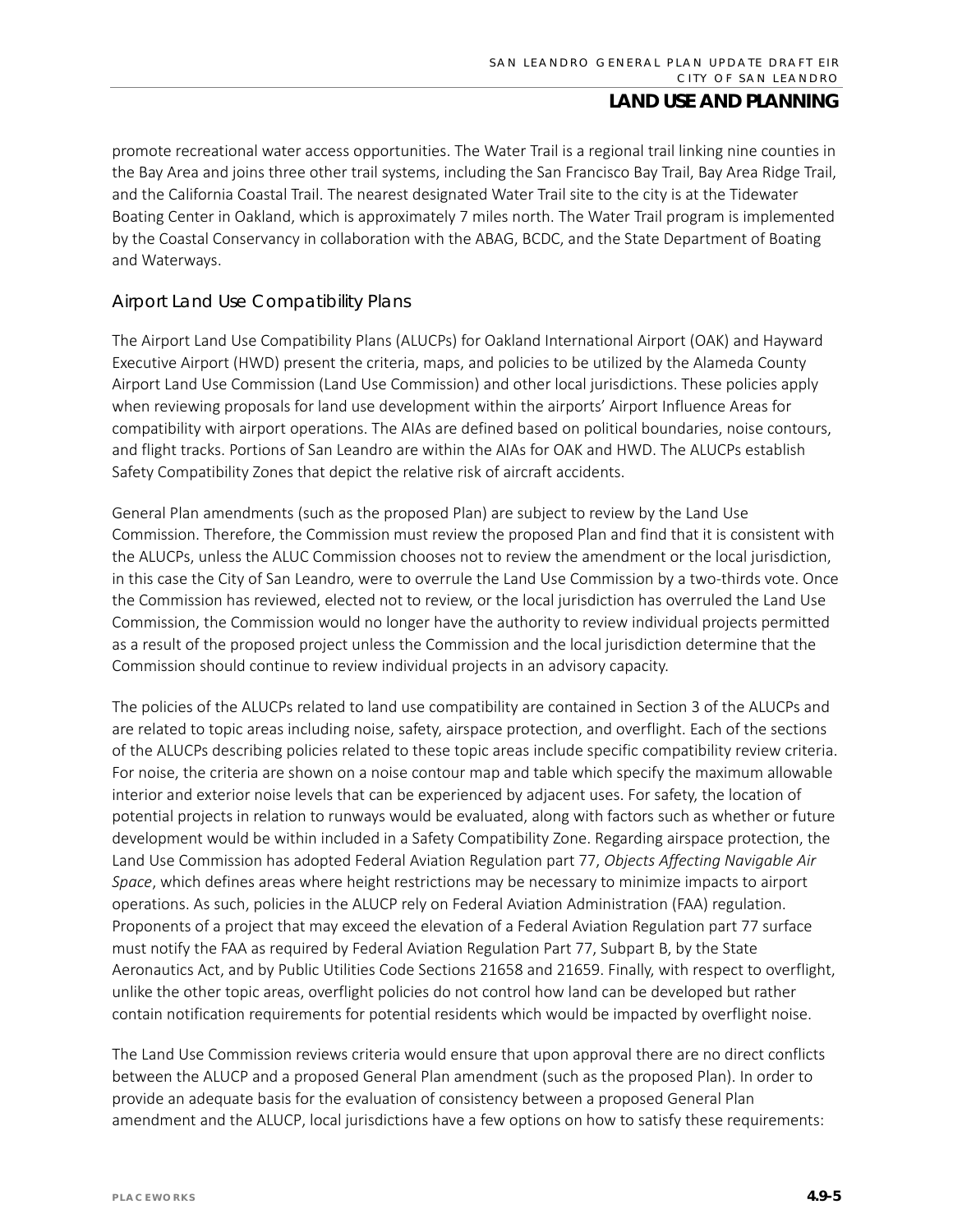promote recreational water access opportunities. The Water Trail is a regional trail linking nine counties in the Bay Area and joins three other trail systems, including the San Francisco Bay Trail, Bay Area Ridge Trail, and the California Coastal Trail. The nearest designated Water Trail site to the city is at the Tidewater Boating Center in Oakland, which is approximately 7 miles north. The Water Trail program is implemented by the Coastal Conservancy in collaboration with the ABAG, BCDC, and the State Department of Boating and Waterways.

#### *Airport Land Use Compatibility Plans*

The Airport Land Use Compatibility Plans (ALUCPs) for Oakland International Airport (OAK) and Hayward Executive Airport (HWD) present the criteria, maps, and policies to be utilized by the Alameda County Airport Land Use Commission (Land Use Commission) and other local jurisdictions. These policies apply when reviewing proposals for land use development within the airports' Airport Influence Areas for compatibility with airport operations. The AIAs are defined based on political boundaries, noise contours, and flight tracks. Portions of San Leandro are within the AIAs for OAK and HWD. The ALUCPs establish Safety Compatibility Zones that depict the relative risk of aircraft accidents.

General Plan amendments (such as the proposed Plan) are subject to review by the Land Use Commission. Therefore, the Commission must review the proposed Plan and find that it is consistent with the ALUCPs, unless the ALUC Commission chooses not to review the amendment or the local jurisdiction, in this case the City of San Leandro, were to overrule the Land Use Commission by a two-thirds vote. Once the Commission has reviewed, elected not to review, or the local jurisdiction has overruled the Land Use Commission, the Commission would no longer have the authority to review individual projects permitted as a result of the proposed project unless the Commission and the local jurisdiction determine that the Commission should continue to review individual projects in an advisory capacity.

The policies of the ALUCPs related to land use compatibility are contained in Section 3 of the ALUCPs and are related to topic areas including noise, safety, airspace protection, and overflight. Each of the sections of the ALUCPs describing policies related to these topic areas include specific compatibility review criteria. For noise, the criteria are shown on a noise contour map and table which specify the maximum allowable interior and exterior noise levels that can be experienced by adjacent uses. For safety, the location of potential projects in relation to runways would be evaluated, along with factors such as whether or future development would be within included in a Safety Compatibility Zone. Regarding airspace protection, the Land Use Commission has adopted Federal Aviation Regulation part 77, *Objects Affecting Navigable Air Space*, which defines areas where height restrictions may be necessary to minimize impacts to airport operations. As such, policies in the ALUCP rely on Federal Aviation Administration (FAA) regulation. Proponents of a project that may exceed the elevation of a Federal Aviation Regulation part 77 surface must notify the FAA as required by Federal Aviation Regulation Part 77, Subpart B, by the State Aeronautics Act, and by Public Utilities Code Sections 21658 and 21659. Finally, with respect to overflight, unlike the other topic areas, overflight policies do not control how land can be developed but rather contain notification requirements for potential residents which would be impacted by overflight noise.

The Land Use Commission reviews criteria would ensure that upon approval there are no direct conflicts between the ALUCP and a proposed General Plan amendment (such as the proposed Plan). In order to provide an adequate basis for the evaluation of consistency between a proposed General Plan amendment and the ALUCP, local jurisdictions have a few options on how to satisfy these requirements: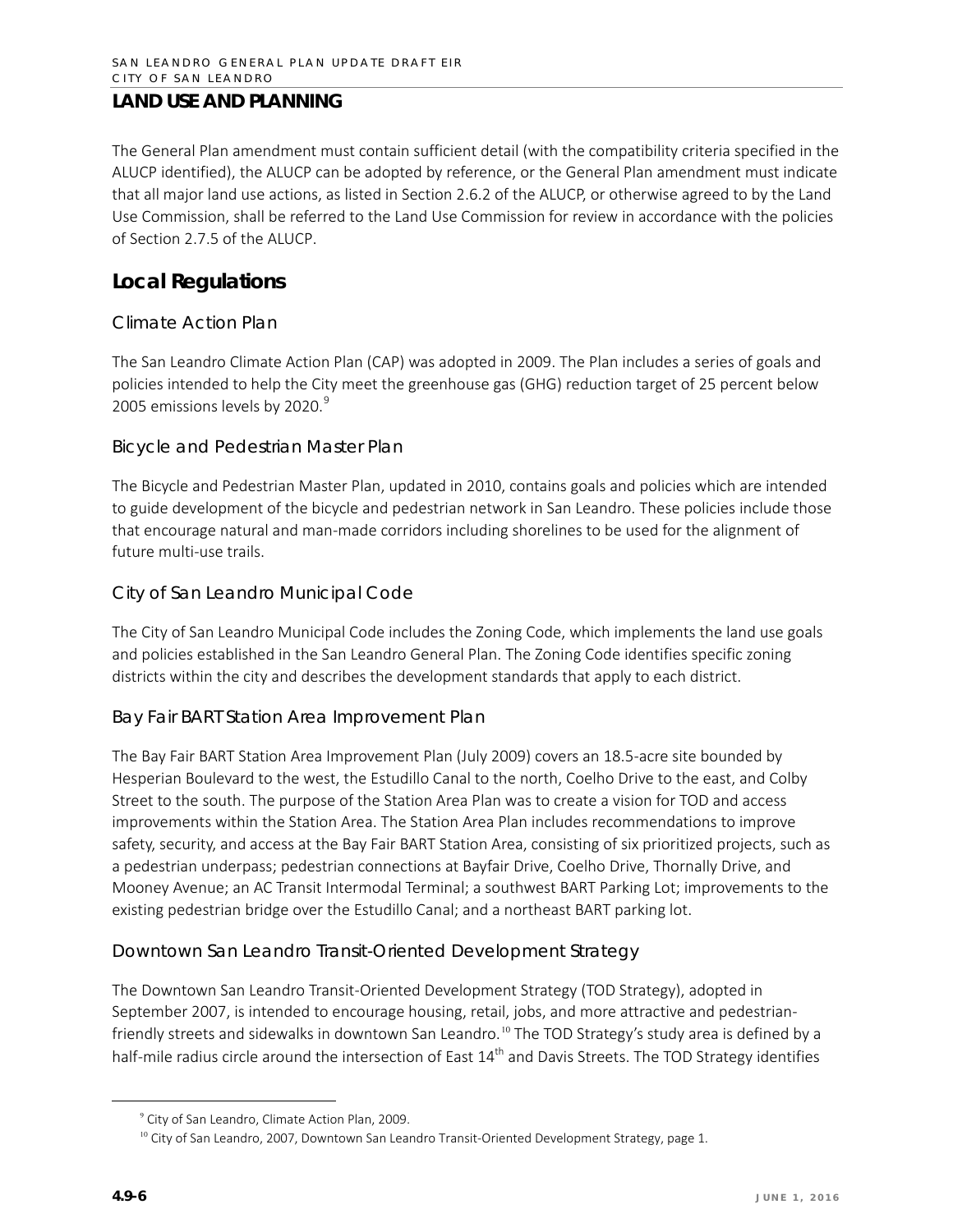The General Plan amendment must contain sufficient detail (with the compatibility criteria specified in the ALUCP identified), the ALUCP can be adopted by reference, or the General Plan amendment must indicate that all major land use actions, as listed in Section 2.6.2 of the ALUCP, or otherwise agreed to by the Land Use Commission, shall be referred to the Land Use Commission for review in accordance with the policies of Section 2.7.5 of the ALUCP.

### **Local Regulations**

#### *Climate Action Plan*

The San Leandro Climate Action Plan (CAP) was adopted in 2009. The Plan includes a series of goals and policies intended to help the City meet the greenhouse gas (GHG) reduction target of 25 percent below 2005 emissions levels by 2020.<sup>[9](#page-5-0)</sup>

#### *Bicycle and Pedestrian Master Plan*

The Bicycle and Pedestrian Master Plan, updated in 2010, contains goals and policies which are intended to guide development of the bicycle and pedestrian network in San Leandro. These policies include those that encourage natural and man-made corridors including shorelines to be used for the alignment of future multi-use trails.

#### *City of San Leandro Municipal Code*

The City of San Leandro Municipal Code includes the Zoning Code, which implements the land use goals and policies established in the San Leandro General Plan. The Zoning Code identifies specific zoning districts within the city and describes the development standards that apply to each district.

#### *Bay Fair BART Station Area Improvement Plan*

The Bay Fair BART Station Area Improvement Plan (July 2009) covers an 18.5-acre site bounded by Hesperian Boulevard to the west, the Estudillo Canal to the north, Coelho Drive to the east, and Colby Street to the south. The purpose of the Station Area Plan was to create a vision for TOD and access improvements within the Station Area. The Station Area Plan includes recommendations to improve safety, security, and access at the Bay Fair BART Station Area, consisting of six prioritized projects, such as a pedestrian underpass; pedestrian connections at Bayfair Drive, Coelho Drive, Thornally Drive, and Mooney Avenue; an AC Transit Intermodal Terminal; a southwest BART Parking Lot; improvements to the existing pedestrian bridge over the Estudillo Canal; and a northeast BART parking lot.

#### *Downtown San Leandro Transit-Oriented Development Strategy*

The Downtown San Leandro Transit-Oriented Development Strategy (TOD Strategy), adopted in September 2007, is intended to encourage housing, retail, jobs, and more attractive and pedestrian-friendly streets and sidewalks in downtown San Leandro.<sup>[10](#page-5-1)</sup> The TOD Strategy's study area is defined by a half-mile radius circle around the intersection of East  $14<sup>th</sup>$  and Davis Streets. The TOD Strategy identifies

<sup>9</sup> City of San Leandro, Climate Action Plan, 2009.

<span id="page-5-1"></span><span id="page-5-0"></span> $10$  City of San Leandro, 2007, Downtown San Leandro Transit-Oriented Development Strategy, page 1.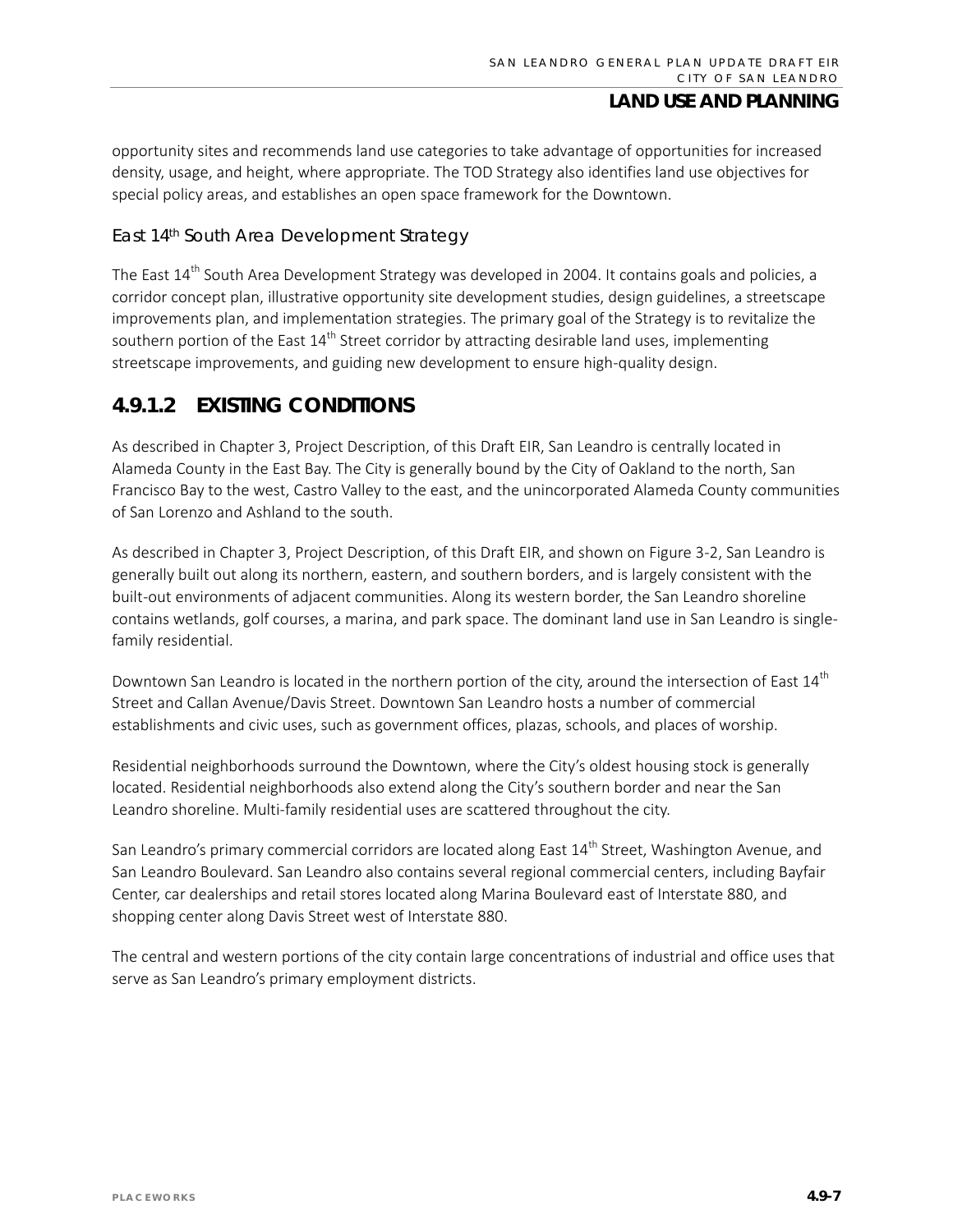opportunity sites and recommends land use categories to take advantage of opportunities for increased density, usage, and height, where appropriate. The TOD Strategy also identifies land use objectives for special policy areas, and establishes an open space framework for the Downtown.

#### *East 14th South Area Development Strategy*

The East 14<sup>th</sup> South Area Development Strategy was developed in 2004. It contains goals and policies, a corridor concept plan, illustrative opportunity site development studies, design guidelines, a streetscape improvements plan, and implementation strategies. The primary goal of the Strategy is to revitalize the southern portion of the East  $14<sup>th</sup>$  Street corridor by attracting desirable land uses, implementing streetscape improvements, and guiding new development to ensure high-quality design.

### **4.9.1.2 EXISTING CONDITIONS**

As described in Chapter 3, Project Description, of this Draft EIR, San Leandro is centrally located in Alameda County in the East Bay. The City is generally bound by the City of Oakland to the north, San Francisco Bay to the west, Castro Valley to the east, and the unincorporated Alameda County communities of San Lorenzo and Ashland to the south.

As described in Chapter 3, Project Description, of this Draft EIR, and shown on Figure 3-2, San Leandro is generally built out along its northern, eastern, and southern borders, and is largely consistent with the built-out environments of adjacent communities. Along its western border, the San Leandro shoreline contains wetlands, golf courses, a marina, and park space. The dominant land use in San Leandro is singlefamily residential.

Downtown San Leandro is located in the northern portion of the city, around the intersection of East 14<sup>th</sup> Street and Callan Avenue/Davis Street. Downtown San Leandro hosts a number of commercial establishments and civic uses, such as government offices, plazas, schools, and places of worship.

Residential neighborhoods surround the Downtown, where the City's oldest housing stock is generally located. Residential neighborhoods also extend along the City's southern border and near the San Leandro shoreline. Multi-family residential uses are scattered throughout the city.

San Leandro's primary commercial corridors are located along East 14<sup>th</sup> Street, Washington Avenue, and San Leandro Boulevard. San Leandro also contains several regional commercial centers, including Bayfair Center, car dealerships and retail stores located along Marina Boulevard east of Interstate 880, and shopping center along Davis Street west of Interstate 880.

The central and western portions of the city contain large concentrations of industrial and office uses that serve as San Leandro's primary employment districts.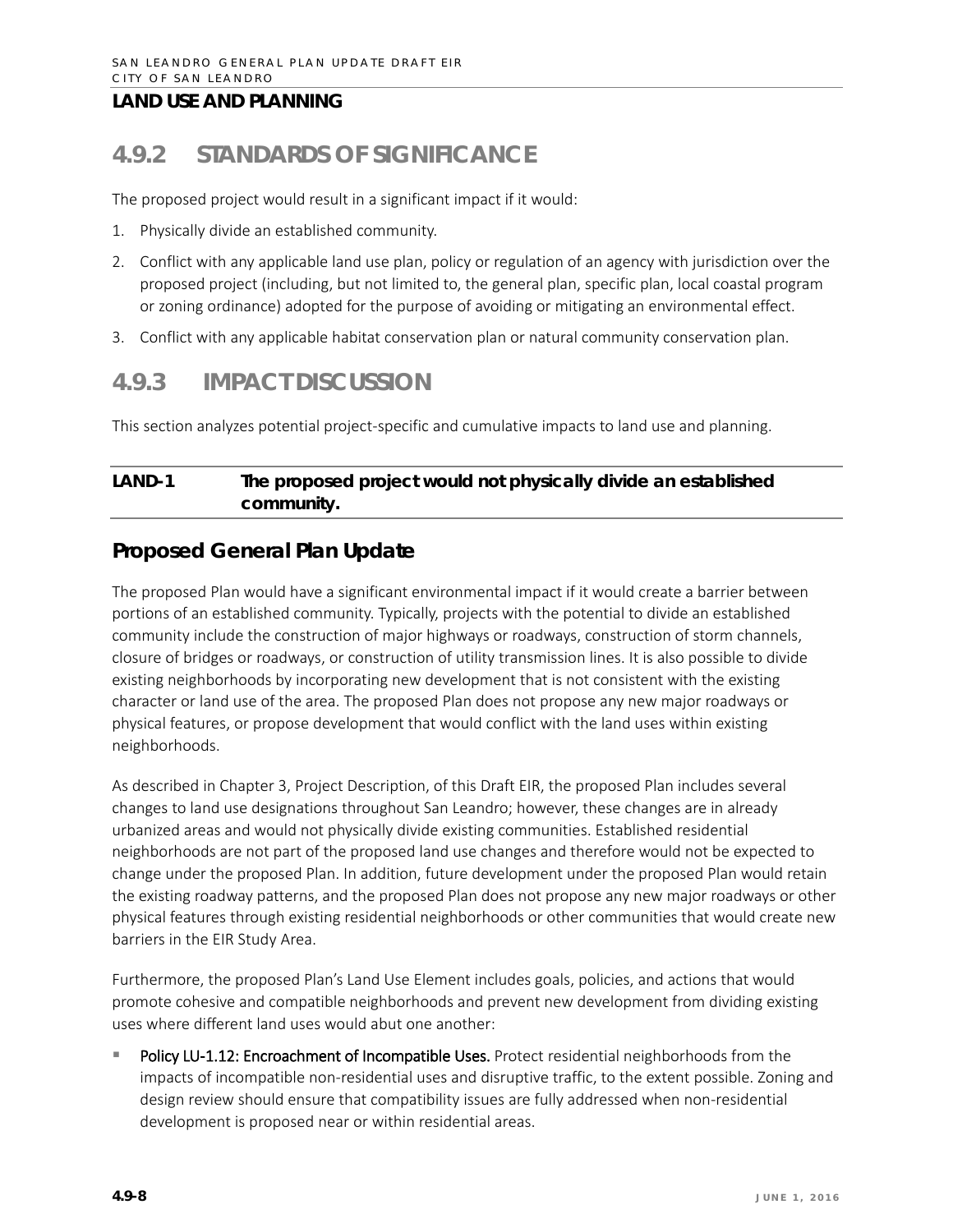# **4.9.2 STANDARDS OF SIGNIFICANCE**

The proposed project would result in a significant impact if it would:

- 1. Physically divide an established community.
- 2. Conflict with any applicable land use plan, policy or regulation of an agency with jurisdiction over the proposed project (including, but not limited to, the general plan, specific plan, local coastal program or zoning ordinance) adopted for the purpose of avoiding or mitigating an environmental effect.
- 3. Conflict with any applicable habitat conservation plan or natural community conservation plan.

## **4.9.3 IMPACT DISCUSSION**

This section analyzes potential project-specific and cumulative impacts to land use and planning.

### **LAND-1 The proposed project would not physically divide an established community.**

### **Proposed General Plan Update**

The proposed Plan would have a significant environmental impact if it would create a barrier between portions of an established community. Typically, projects with the potential to divide an established community include the construction of major highways or roadways, construction of storm channels, closure of bridges or roadways, or construction of utility transmission lines. It is also possible to divide existing neighborhoods by incorporating new development that is not consistent with the existing character or land use of the area. The proposed Plan does not propose any new major roadways or physical features, or propose development that would conflict with the land uses within existing neighborhoods.

As described in Chapter 3, Project Description, of this Draft EIR, the proposed Plan includes several changes to land use designations throughout San Leandro; however, these changes are in already urbanized areas and would not physically divide existing communities. Established residential neighborhoods are not part of the proposed land use changes and therefore would not be expected to change under the proposed Plan. In addition, future development under the proposed Plan would retain the existing roadway patterns, and the proposed Plan does not propose any new major roadways or other physical features through existing residential neighborhoods or other communities that would create new barriers in the EIR Study Area.

Furthermore, the proposed Plan's Land Use Element includes goals, policies, and actions that would promote cohesive and compatible neighborhoods and prevent new development from dividing existing uses where different land uses would abut one another:

Policy LU-1.12: Encroachment of Incompatible Uses. Protect residential neighborhoods from the impacts of incompatible non-residential uses and disruptive traffic, to the extent possible. Zoning and design review should ensure that compatibility issues are fully addressed when non-residential development is proposed near or within residential areas.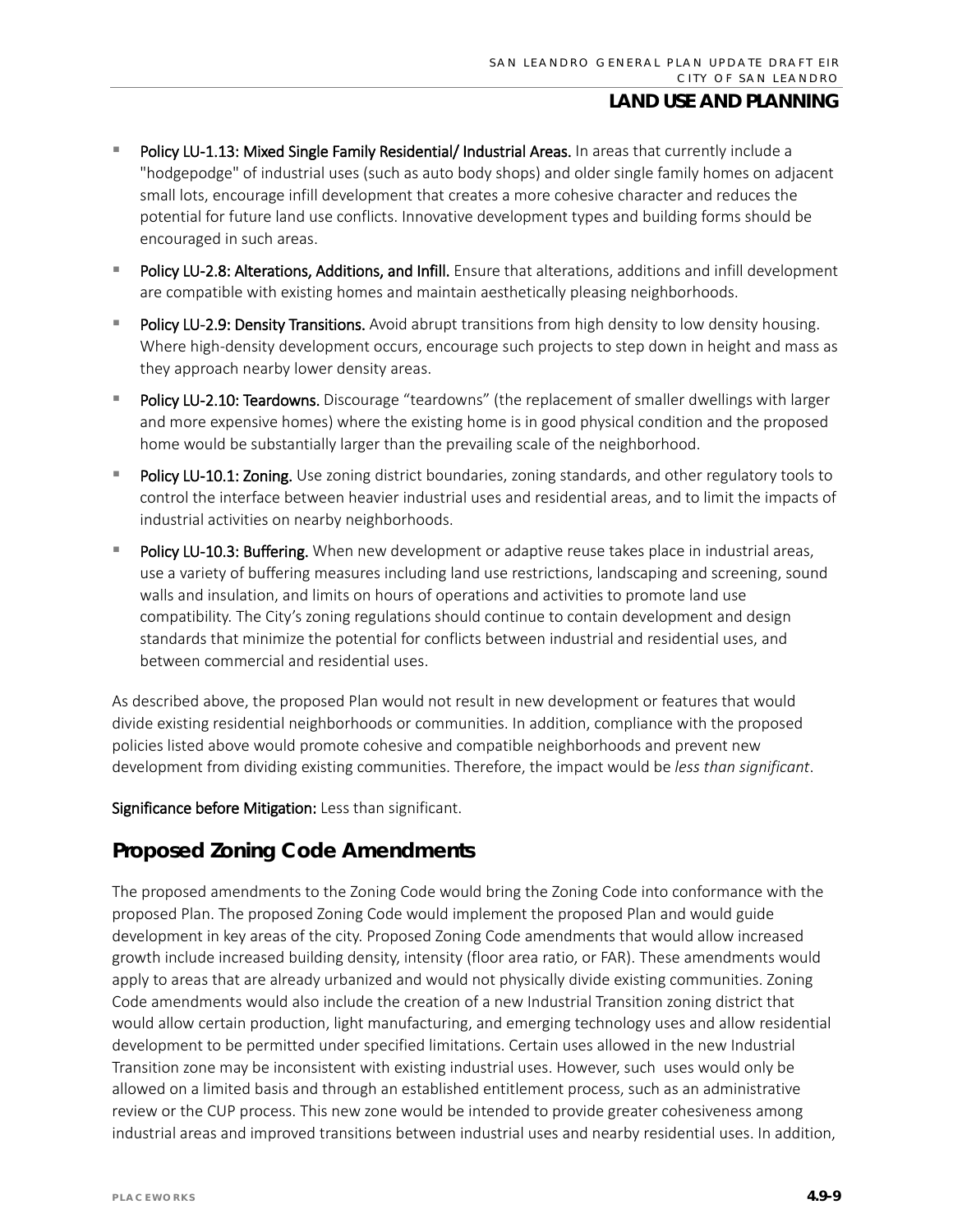- Policy LU-1.13: Mixed Single Family Residential/ Industrial Areas. In areas that currently include a "hodgepodge" of industrial uses (such as auto body shops) and older single family homes on adjacent small lots, encourage infill development that creates a more cohesive character and reduces the potential for future land use conflicts. Innovative development types and building forms should be encouraged in such areas.
- Policy LU-2.8: Alterations, Additions, and Infill. Ensure that alterations, additions and infill development are compatible with existing homes and maintain aesthetically pleasing neighborhoods.
- Policy LU-2.9: Density Transitions. Avoid abrupt transitions from high density to low density housing. Where high-density development occurs, encourage such projects to step down in height and mass as they approach nearby lower density areas.
- Policy LU-2.10: Teardowns. Discourage "teardowns" (the replacement of smaller dwellings with larger and more expensive homes) where the existing home is in good physical condition and the proposed home would be substantially larger than the prevailing scale of the neighborhood.
- Policy LU-10.1: Zoning. Use zoning district boundaries, zoning standards, and other regulatory tools to control the interface between heavier industrial uses and residential areas, and to limit the impacts of industrial activities on nearby neighborhoods.
- Policy LU-10.3: Buffering. When new development or adaptive reuse takes place in industrial areas, use a variety of buffering measures including land use restrictions, landscaping and screening, sound walls and insulation, and limits on hours of operations and activities to promote land use compatibility. The City's zoning regulations should continue to contain development and design standards that minimize the potential for conflicts between industrial and residential uses, and between commercial and residential uses.

As described above, the proposed Plan would not result in new development or features that would divide existing residential neighborhoods or communities. In addition, compliance with the proposed policies listed above would promote cohesive and compatible neighborhoods and prevent new development from dividing existing communities. Therefore, the impact would be *less than significant*.

Significance before Mitigation: Less than significant.

### **Proposed Zoning Code Amendments**

The proposed amendments to the Zoning Code would bring the Zoning Code into conformance with the proposed Plan. The proposed Zoning Code would implement the proposed Plan and would guide development in key areas of the city. Proposed Zoning Code amendments that would allow increased growth include increased building density, intensity (floor area ratio, or FAR). These amendments would apply to areas that are already urbanized and would not physically divide existing communities. Zoning Code amendments would also include the creation of a new Industrial Transition zoning district that would allow certain production, light manufacturing, and emerging technology uses and allow residential development to be permitted under specified limitations. Certain uses allowed in the new Industrial Transition zone may be inconsistent with existing industrial uses. However, such uses would only be allowed on a limited basis and through an established entitlement process, such as an administrative review or the CUP process. This new zone would be intended to provide greater cohesiveness among industrial areas and improved transitions between industrial uses and nearby residential uses. In addition,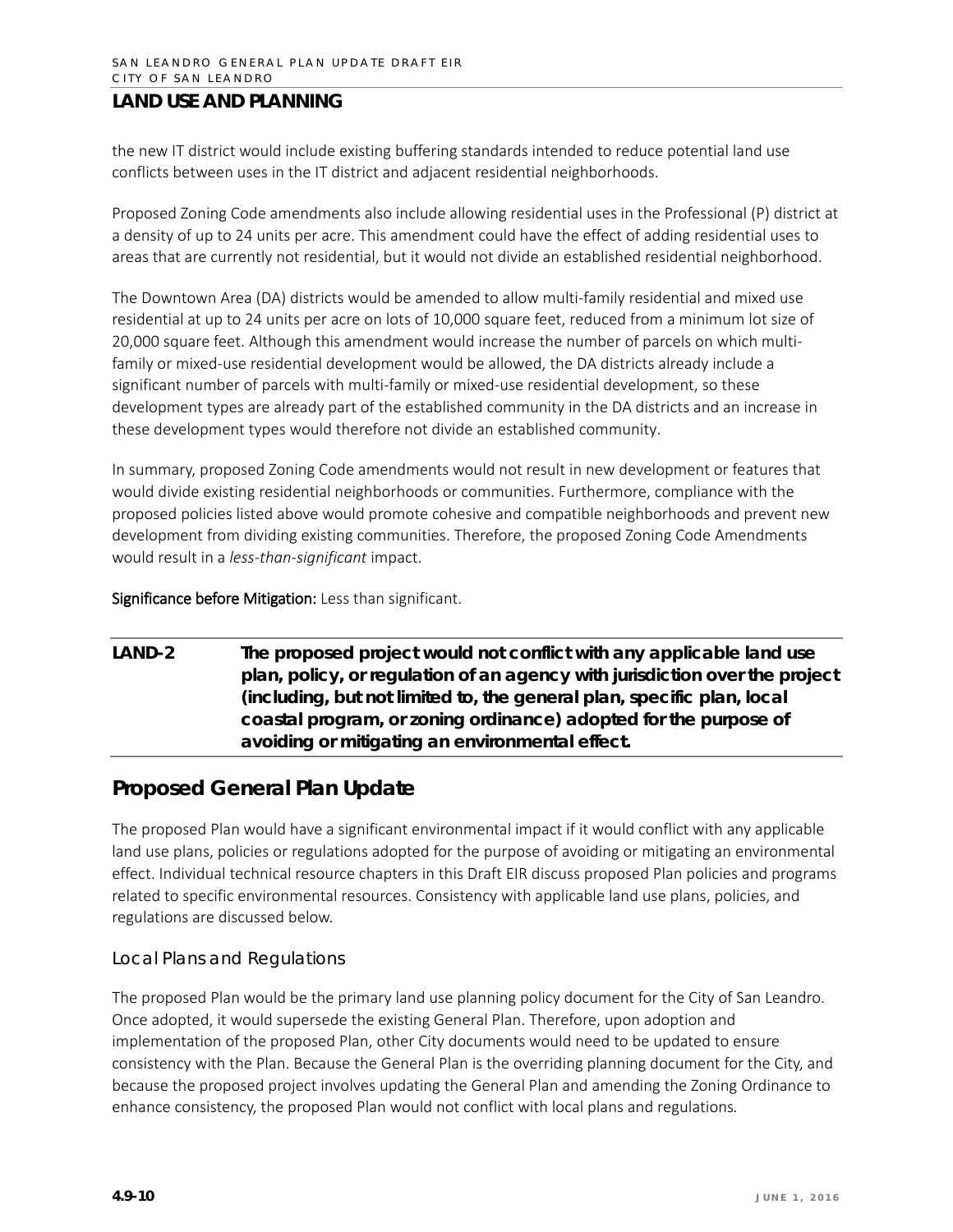the new IT district would include existing buffering standards intended to reduce potential land use conflicts between uses in the IT district and adjacent residential neighborhoods.

Proposed Zoning Code amendments also include allowing residential uses in the Professional (P) district at a density of up to 24 units per acre. This amendment could have the effect of adding residential uses to areas that are currently not residential, but it would not divide an established residential neighborhood.

The Downtown Area (DA) districts would be amended to allow multi-family residential and mixed use residential at up to 24 units per acre on lots of 10,000 square feet, reduced from a minimum lot size of 20,000 square feet. Although this amendment would increase the number of parcels on which multifamily or mixed-use residential development would be allowed, the DA districts already include a significant number of parcels with multi-family or mixed-use residential development, so these development types are already part of the established community in the DA districts and an increase in these development types would therefore not divide an established community.

In summary, proposed Zoning Code amendments would not result in new development or features that would divide existing residential neighborhoods or communities. Furthermore, compliance with the proposed policies listed above would promote cohesive and compatible neighborhoods and prevent new development from dividing existing communities. Therefore, the proposed Zoning Code Amendments would result in a *less-than-significant* impact.

Significance before Mitigation: Less than significant.

### **LAND-2 The proposed project would not conflict with any applicable land use plan, policy, or regulation of an agency with jurisdiction over the project (including, but not limited to, the general plan, specific plan, local coastal program, or zoning ordinance) adopted for the purpose of avoiding or mitigating an environmental effect.**

### **Proposed General Plan Update**

The proposed Plan would have a significant environmental impact if it would conflict with any applicable land use plans, policies or regulations adopted for the purpose of avoiding or mitigating an environmental effect. Individual technical resource chapters in this Draft EIR discuss proposed Plan policies and programs related to specific environmental resources. Consistency with applicable land use plans, policies, and regulations are discussed below.

#### *Local Plans and Regulations*

The proposed Plan would be the primary land use planning policy document for the City of San Leandro. Once adopted, it would supersede the existing General Plan. Therefore, upon adoption and implementation of the proposed Plan, other City documents would need to be updated to ensure consistency with the Plan. Because the General Plan is the overriding planning document for the City, and because the proposed project involves updating the General Plan and amending the Zoning Ordinance to enhance consistency, the proposed Plan would not conflict with local plans and regulations*.*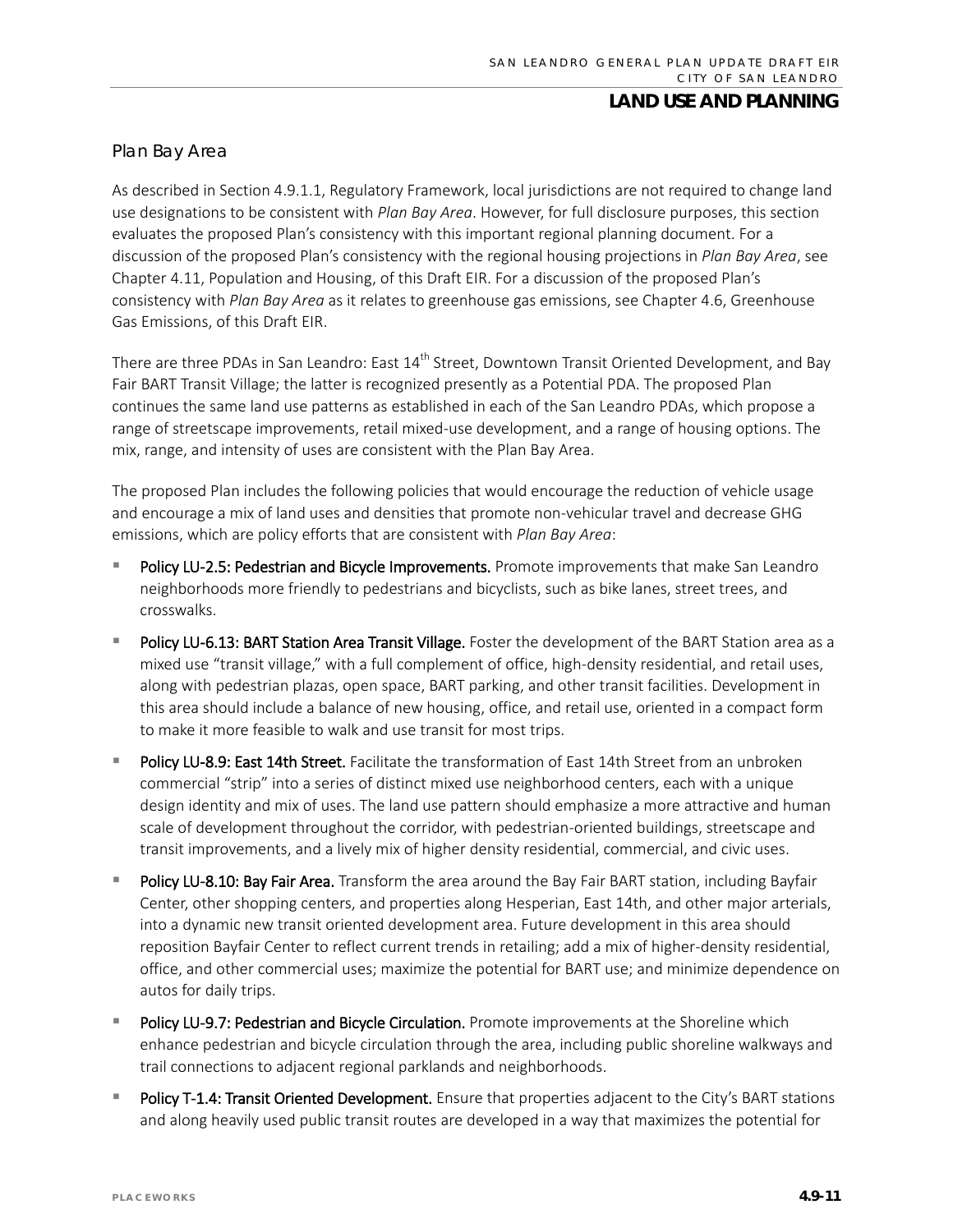#### *Plan Bay Area*

As described in Section 4.9.1.1, Regulatory Framework, local jurisdictions are not required to change land use designations to be consistent with *Plan Bay Area*. However, for full disclosure purposes, this section evaluates the proposed Plan's consistency with this important regional planning document. For a discussion of the proposed Plan's consistency with the regional housing projections in *Plan Bay Area*, see Chapter 4.11, Population and Housing, of this Draft EIR. For a discussion of the proposed Plan's consistency with *Plan Bay Area* as it relates to greenhouse gas emissions, see Chapter 4.6, Greenhouse Gas Emissions, of this Draft EIR.

There are three PDAs in San Leandro: East 14<sup>th</sup> Street, Downtown Transit Oriented Development, and Bay Fair BART Transit Village; the latter is recognized presently as a Potential PDA. The proposed Plan continues the same land use patterns as established in each of the San Leandro PDAs, which propose a range of streetscape improvements, retail mixed-use development, and a range of housing options. The mix, range, and intensity of uses are consistent with the Plan Bay Area.

The proposed Plan includes the following policies that would encourage the reduction of vehicle usage and encourage a mix of land uses and densities that promote non-vehicular travel and decrease GHG emissions, which are policy efforts that are consistent with *Plan Bay Area*:

- Policy LU-2.5: Pedestrian and Bicycle Improvements. Promote improvements that make San Leandro neighborhoods more friendly to pedestrians and bicyclists, such as bike lanes, street trees, and crosswalks.
- Policy LU-6.13: BART Station Area Transit Village. Foster the development of the BART Station area as a mixed use "transit village," with a full complement of office, high-density residential, and retail uses, along with pedestrian plazas, open space, BART parking, and other transit facilities. Development in this area should include a balance of new housing, office, and retail use, oriented in a compact form to make it more feasible to walk and use transit for most trips.
- Policy LU-8.9: East 14th Street. Facilitate the transformation of East 14th Street from an unbroken commercial "strip" into a series of distinct mixed use neighborhood centers, each with a unique design identity and mix of uses. The land use pattern should emphasize a more attractive and human scale of development throughout the corridor, with pedestrian-oriented buildings, streetscape and transit improvements, and a lively mix of higher density residential, commercial, and civic uses.
- Policy LU-8.10: Bay Fair Area. Transform the area around the Bay Fair BART station, including Bayfair Center, other shopping centers, and properties along Hesperian, East 14th, and other major arterials, into a dynamic new transit oriented development area. Future development in this area should reposition Bayfair Center to reflect current trends in retailing; add a mix of higher-density residential, office, and other commercial uses; maximize the potential for BART use; and minimize dependence on autos for daily trips.
- Policy LU-9.7: Pedestrian and Bicycle Circulation. Promote improvements at the Shoreline which enhance pedestrian and bicycle circulation through the area, including public shoreline walkways and trail connections to adjacent regional parklands and neighborhoods.
- Policy T-1.4: Transit Oriented Development. Ensure that properties adjacent to the City's BART stations and along heavily used public transit routes are developed in a way that maximizes the potential for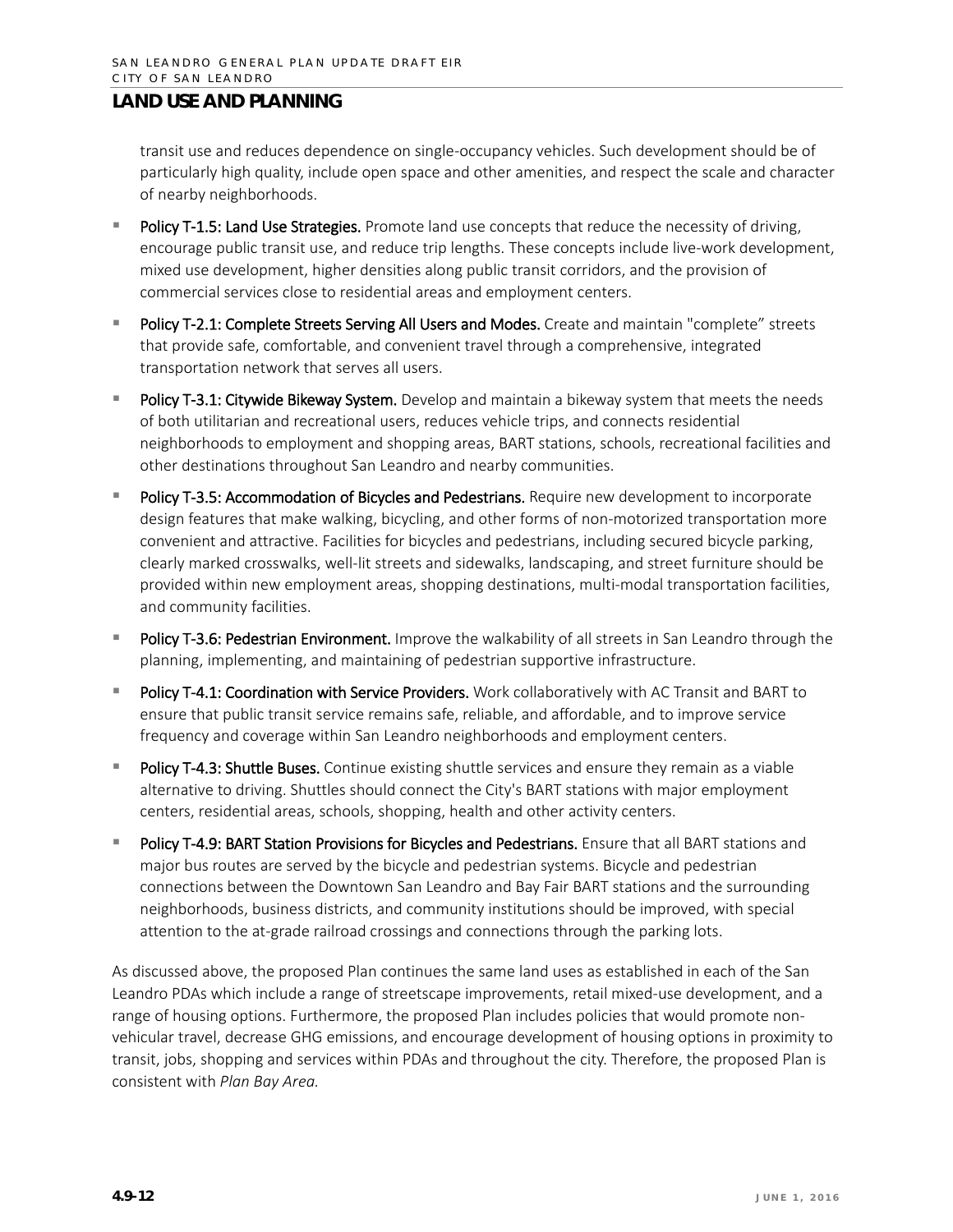transit use and reduces dependence on single-occupancy vehicles. Such development should be of particularly high quality, include open space and other amenities, and respect the scale and character of nearby neighborhoods.

- Policy T-1.5: Land Use Strategies. Promote land use concepts that reduce the necessity of driving, encourage public transit use, and reduce trip lengths. These concepts include live-work development, mixed use development, higher densities along public transit corridors, and the provision of commercial services close to residential areas and employment centers.
- Policy T-2.1: Complete Streets Serving All Users and Modes. Create and maintain "complete" streets that provide safe, comfortable, and convenient travel through a comprehensive, integrated transportation network that serves all users.
- Policy T-3.1: Citywide Bikeway System. Develop and maintain a bikeway system that meets the needs of both utilitarian and recreational users, reduces vehicle trips, and connects residential neighborhoods to employment and shopping areas, BART stations, schools, recreational facilities and other destinations throughout San Leandro and nearby communities.
- Policy T-3.5: Accommodation of Bicycles and Pedestrians. Require new development to incorporate design features that make walking, bicycling, and other forms of non-motorized transportation more convenient and attractive. Facilities for bicycles and pedestrians, including secured bicycle parking, clearly marked crosswalks, well-lit streets and sidewalks, landscaping, and street furniture should be provided within new employment areas, shopping destinations, multi-modal transportation facilities, and community facilities.
- Policy T-3.6: Pedestrian Environment. Improve the walkability of all streets in San Leandro through the planning, implementing, and maintaining of pedestrian supportive infrastructure.
- Policy T-4.1: Coordination with Service Providers. Work collaboratively with AC Transit and BART to ensure that public transit service remains safe, reliable, and affordable, and to improve service frequency and coverage within San Leandro neighborhoods and employment centers.
- Policy T-4.3: Shuttle Buses. Continue existing shuttle services and ensure they remain as a viable alternative to driving. Shuttles should connect the City's BART stations with major employment centers, residential areas, schools, shopping, health and other activity centers.
- Policy T-4.9: BART Station Provisions for Bicycles and Pedestrians. Ensure that all BART stations and major bus routes are served by the bicycle and pedestrian systems. Bicycle and pedestrian connections between the Downtown San Leandro and Bay Fair BART stations and the surrounding neighborhoods, business districts, and community institutions should be improved, with special attention to the at-grade railroad crossings and connections through the parking lots.

As discussed above, the proposed Plan continues the same land uses as established in each of the San Leandro PDAs which include a range of streetscape improvements, retail mixed-use development, and a range of housing options. Furthermore, the proposed Plan includes policies that would promote nonvehicular travel, decrease GHG emissions, and encourage development of housing options in proximity to transit, jobs, shopping and services within PDAs and throughout the city. Therefore, the proposed Plan is consistent with *Plan Bay Area.*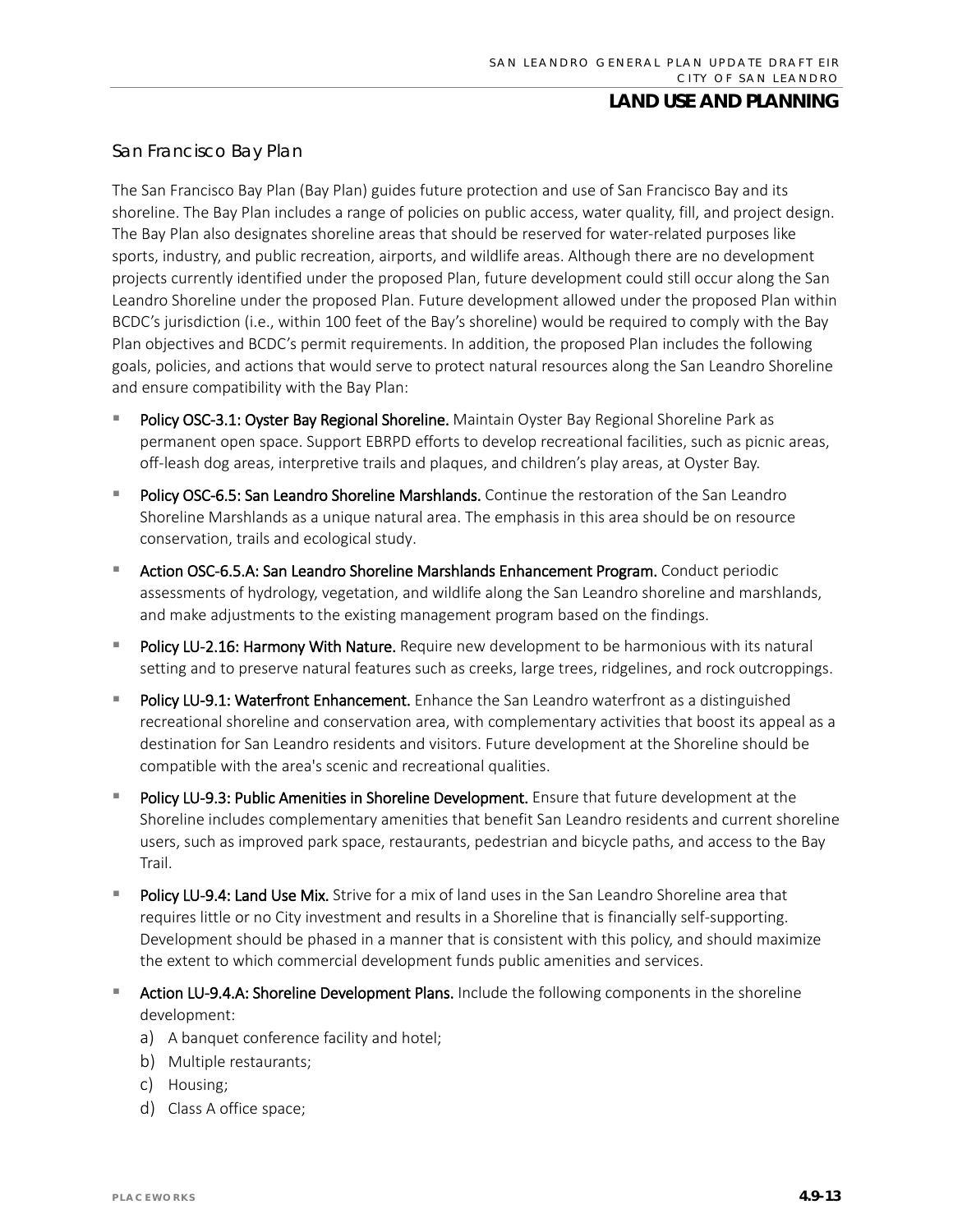#### *San Francisco Bay Plan*

The San Francisco Bay Plan (Bay Plan) guides future protection and use of San Francisco Bay and its shoreline. The Bay Plan includes a range of policies on public access, water quality, fill, and project design. The Bay Plan also designates shoreline areas that should be reserved for water-related purposes like sports, industry, and public recreation, airports, and wildlife areas. Although there are no development projects currently identified under the proposed Plan, future development could still occur along the San Leandro Shoreline under the proposed Plan. Future development allowed under the proposed Plan within BCDC's jurisdiction (i.e., within 100 feet of the Bay's shoreline) would be required to comply with the Bay Plan objectives and BCDC's permit requirements. In addition, the proposed Plan includes the following goals, policies, and actions that would serve to protect natural resources along the San Leandro Shoreline and ensure compatibility with the Bay Plan:

- Policy OSC-3.1: Oyster Bay Regional Shoreline. Maintain Oyster Bay Regional Shoreline Park as permanent open space. Support EBRPD efforts to develop recreational facilities, such as picnic areas, off-leash dog areas, interpretive trails and plaques, and children's play areas, at Oyster Bay.
- Policy OSC-6.5: San Leandro Shoreline Marshlands. Continue the restoration of the San Leandro Shoreline Marshlands as a unique natural area. The emphasis in this area should be on resource conservation, trails and ecological study.
- **Action OSC-6.5.A: San Leandro Shoreline Marshlands Enhancement Program.** Conduct periodic assessments of hydrology, vegetation, and wildlife along the San Leandro shoreline and marshlands, and make adjustments to the existing management program based on the findings.
- Policy LU-2.16: Harmony With Nature. Require new development to be harmonious with its natural setting and to preserve natural features such as creeks, large trees, ridgelines, and rock outcroppings.
- Policy LU-9.1: Waterfront Enhancement. Enhance the San Leandro waterfront as a distinguished recreational shoreline and conservation area, with complementary activities that boost its appeal as a destination for San Leandro residents and visitors. Future development at the Shoreline should be compatible with the area's scenic and recreational qualities.
- Policy LU-9.3: Public Amenities in Shoreline Development. Ensure that future development at the Shoreline includes complementary amenities that benefit San Leandro residents and current shoreline users, such as improved park space, restaurants, pedestrian and bicycle paths, and access to the Bay Trail.
- Policy LU-9.4: Land Use Mix. Strive for a mix of land uses in the San Leandro Shoreline area that requires little or no City investment and results in a Shoreline that is financially self-supporting. Development should be phased in a manner that is consistent with this policy, and should maximize the extent to which commercial development funds public amenities and services.
- **Action LU-9.4.A: Shoreline Development Plans.** Include the following components in the shoreline development:
	- a) A banquet conference facility and hotel;
	- b) Multiple restaurants;
	- c) Housing;
	- d) Class A office space;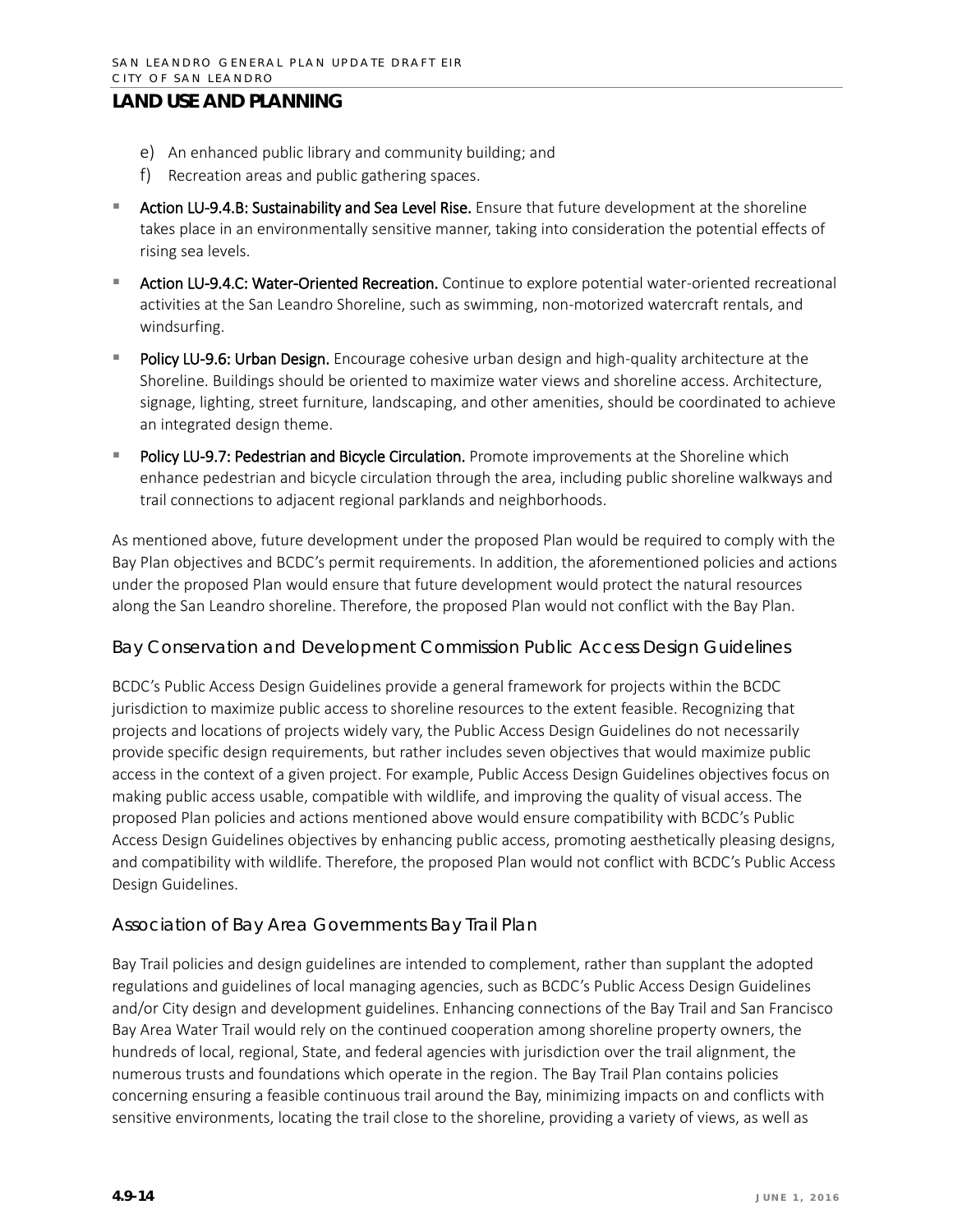- e) An enhanced public library and community building; and
- f) Recreation areas and public gathering spaces.
- Action LU-9.4.B: Sustainability and Sea Level Rise. Ensure that future development at the shoreline takes place in an environmentally sensitive manner, taking into consideration the potential effects of rising sea levels.
- Action LU-9.4.C: Water-Oriented Recreation. Continue to explore potential water-oriented recreational activities at the San Leandro Shoreline, such as swimming, non-motorized watercraft rentals, and windsurfing.
- Policy LU-9.6: Urban Design. Encourage cohesive urban design and high-quality architecture at the Shoreline. Buildings should be oriented to maximize water views and shoreline access. Architecture, signage, lighting, street furniture, landscaping, and other amenities, should be coordinated to achieve an integrated design theme.
- Policy LU-9.7: Pedestrian and Bicycle Circulation. Promote improvements at the Shoreline which enhance pedestrian and bicycle circulation through the area, including public shoreline walkways and trail connections to adjacent regional parklands and neighborhoods.

As mentioned above, future development under the proposed Plan would be required to comply with the Bay Plan objectives and BCDC's permit requirements. In addition, the aforementioned policies and actions under the proposed Plan would ensure that future development would protect the natural resources along the San Leandro shoreline. Therefore, the proposed Plan would not conflict with the Bay Plan.

#### *Bay Conservation and Development Commission Public Access Design Guidelines*

BCDC's Public Access Design Guidelines provide a general framework for projects within the BCDC jurisdiction to maximize public access to shoreline resources to the extent feasible. Recognizing that projects and locations of projects widely vary, the Public Access Design Guidelines do not necessarily provide specific design requirements, but rather includes seven objectives that would maximize public access in the context of a given project. For example, Public Access Design Guidelines objectives focus on making public access usable, compatible with wildlife, and improving the quality of visual access. The proposed Plan policies and actions mentioned above would ensure compatibility with BCDC's Public Access Design Guidelines objectives by enhancing public access, promoting aesthetically pleasing designs, and compatibility with wildlife. Therefore, the proposed Plan would not conflict with BCDC's Public Access Design Guidelines.

#### *Association of Bay Area Governments Bay Trail Plan*

Bay Trail policies and design guidelines are intended to complement, rather than supplant the adopted regulations and guidelines of local managing agencies, such as BCDC's Public Access Design Guidelines and/or City design and development guidelines. Enhancing connections of the Bay Trail and San Francisco Bay Area Water Trail would rely on the continued cooperation among shoreline property owners, the hundreds of local, regional, State, and federal agencies with jurisdiction over the trail alignment, the numerous trusts and foundations which operate in the region. The Bay Trail Plan contains policies concerning ensuring a feasible continuous trail around the Bay, minimizing impacts on and conflicts with sensitive environments, locating the trail close to the shoreline, providing a variety of views, as well as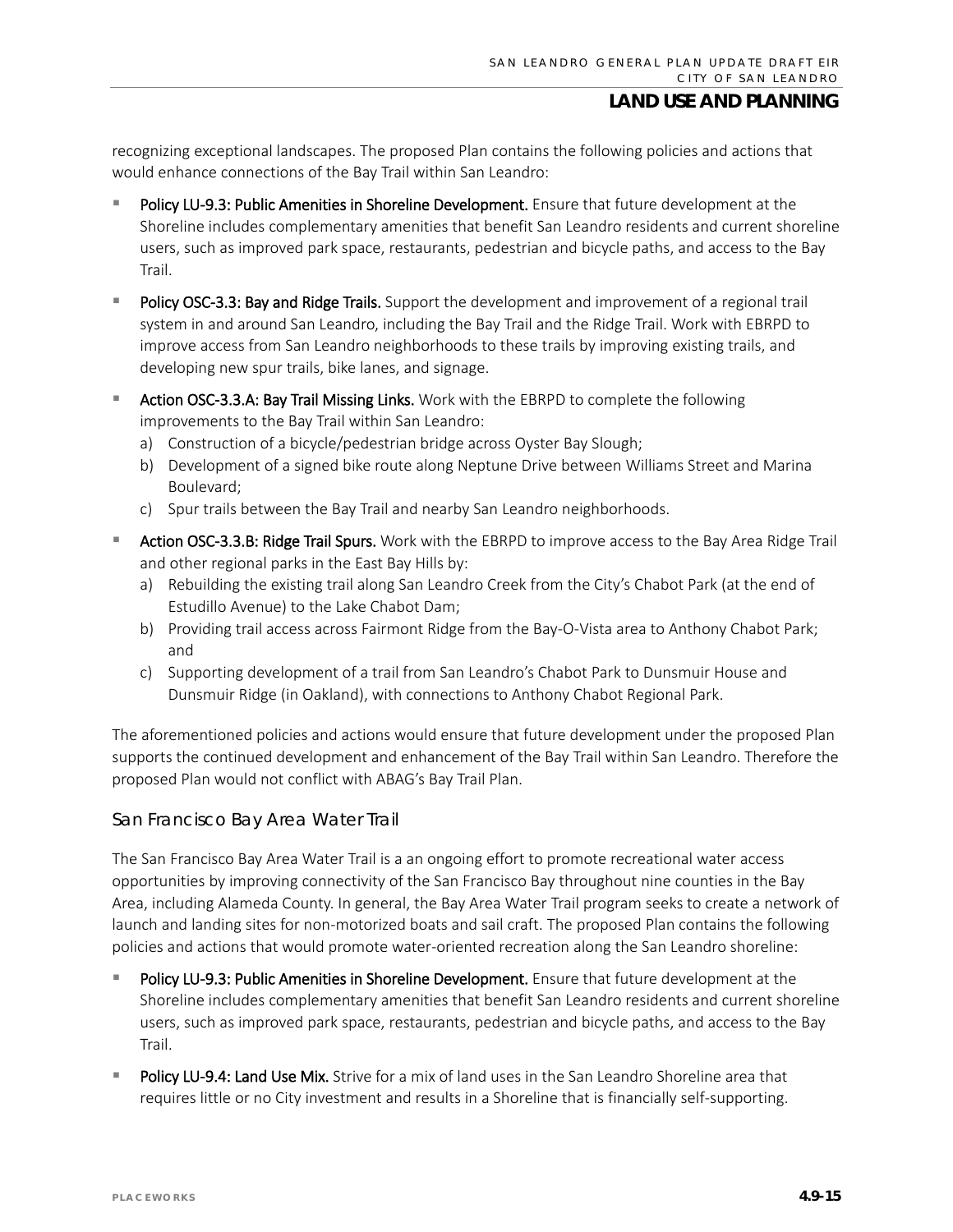recognizing exceptional landscapes. The proposed Plan contains the following policies and actions that would enhance connections of the Bay Trail within San Leandro:

- Policy LU-9.3: Public Amenities in Shoreline Development. Ensure that future development at the Shoreline includes complementary amenities that benefit San Leandro residents and current shoreline users, such as improved park space, restaurants, pedestrian and bicycle paths, and access to the Bay Trail.
- Policy OSC-3.3: Bay and Ridge Trails. Support the development and improvement of a regional trail system in and around San Leandro, including the Bay Trail and the Ridge Trail. Work with EBRPD to improve access from San Leandro neighborhoods to these trails by improving existing trails, and developing new spur trails, bike lanes, and signage.
- **EXTER Action OSC-3.3.A: Bay Trail Missing Links.** Work with the EBRPD to complete the following improvements to the Bay Trail within San Leandro:
	- a) Construction of a bicycle/pedestrian bridge across Oyster Bay Slough;
	- b) Development of a signed bike route along Neptune Drive between Williams Street and Marina Boulevard;
	- c) Spur trails between the Bay Trail and nearby San Leandro neighborhoods.
- Action OSC-3.3.B: Ridge Trail Spurs. Work with the EBRPD to improve access to the Bay Area Ridge Trail and other regional parks in the East Bay Hills by:
	- a) Rebuilding the existing trail along San Leandro Creek from the City's Chabot Park (at the end of Estudillo Avenue) to the Lake Chabot Dam;
	- b) Providing trail access across Fairmont Ridge from the Bay-O-Vista area to Anthony Chabot Park; and
	- c) Supporting development of a trail from San Leandro's Chabot Park to Dunsmuir House and Dunsmuir Ridge (in Oakland), with connections to Anthony Chabot Regional Park.

The aforementioned policies and actions would ensure that future development under the proposed Plan supports the continued development and enhancement of the Bay Trail within San Leandro. Therefore the proposed Plan would not conflict with ABAG's Bay Trail Plan.

#### *San Francisco Bay Area Water Trail*

The San Francisco Bay Area Water Trail is a an ongoing effort to promote recreational water access opportunities by improving connectivity of the San Francisco Bay throughout nine counties in the Bay Area, including Alameda County. In general, the Bay Area Water Trail program seeks to create a network of launch and landing sites for non-motorized boats and sail craft. The proposed Plan contains the following policies and actions that would promote water-oriented recreation along the San Leandro shoreline:

- Policy LU-9.3: Public Amenities in Shoreline Development. Ensure that future development at the Shoreline includes complementary amenities that benefit San Leandro residents and current shoreline users, such as improved park space, restaurants, pedestrian and bicycle paths, and access to the Bay Trail.
- Policy LU-9.4: Land Use Mix. Strive for a mix of land uses in the San Leandro Shoreline area that requires little or no City investment and results in a Shoreline that is financially self-supporting.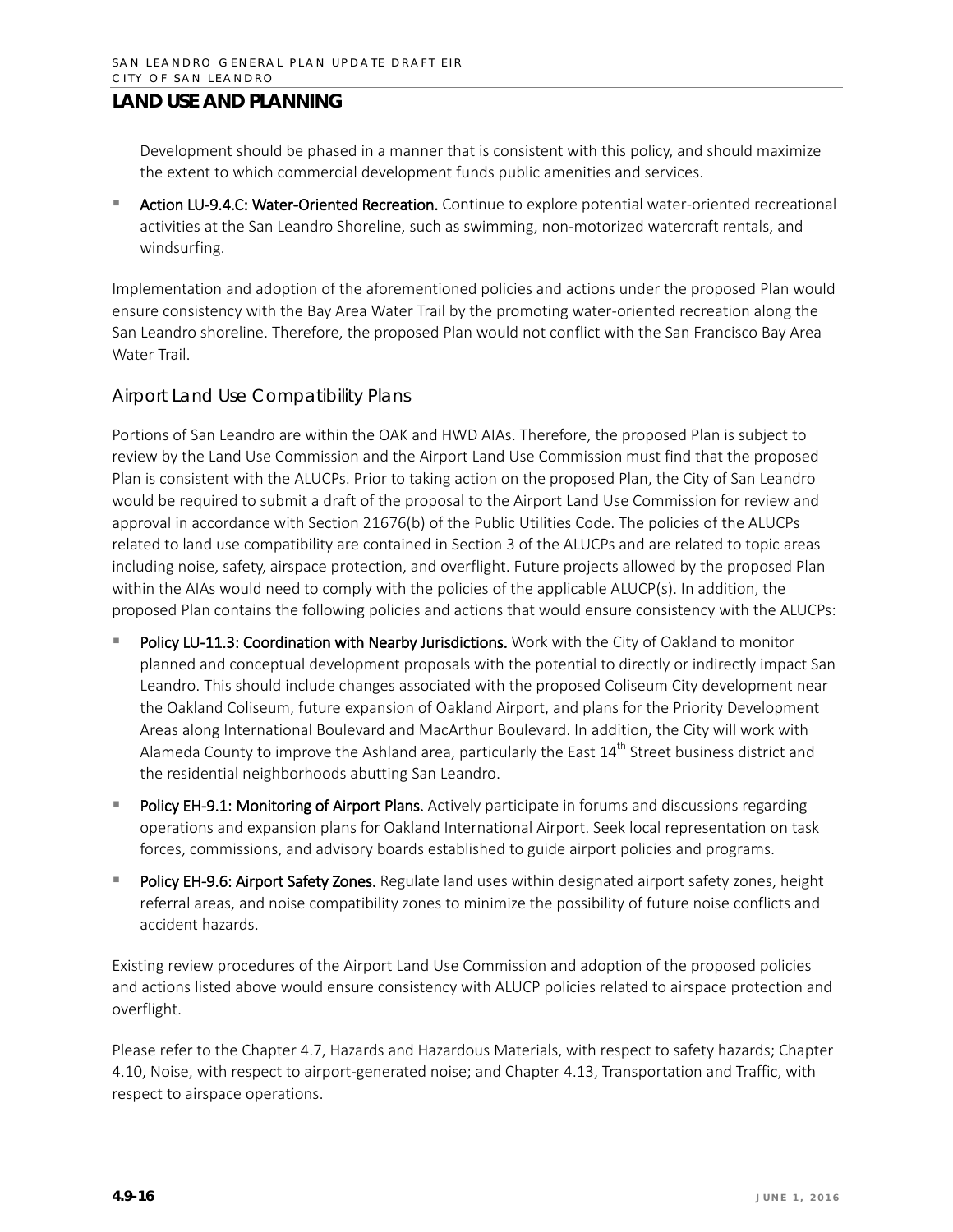Development should be phased in a manner that is consistent with this policy, and should maximize the extent to which commercial development funds public amenities and services.

 Action LU-9.4.C: Water-Oriented Recreation. Continue to explore potential water-oriented recreational activities at the San Leandro Shoreline, such as swimming, non-motorized watercraft rentals, and windsurfing.

Implementation and adoption of the aforementioned policies and actions under the proposed Plan would ensure consistency with the Bay Area Water Trail by the promoting water-oriented recreation along the San Leandro shoreline. Therefore, the proposed Plan would not conflict with the San Francisco Bay Area Water Trail.

#### *Airport Land Use Compatibility Plans*

Portions of San Leandro are within the OAK and HWD AIAs. Therefore, the proposed Plan is subject to review by the Land Use Commission and the Airport Land Use Commission must find that the proposed Plan is consistent with the ALUCPs. Prior to taking action on the proposed Plan, the City of San Leandro would be required to submit a draft of the proposal to the Airport Land Use Commission for review and approval in accordance with Section 21676(b) of the Public Utilities Code. The policies of the ALUCPs related to land use compatibility are contained in Section 3 of the ALUCPs and are related to topic areas including noise, safety, airspace protection, and overflight. Future projects allowed by the proposed Plan within the AIAs would need to comply with the policies of the applicable ALUCP(s). In addition, the proposed Plan contains the following policies and actions that would ensure consistency with the ALUCPs:

- Policy LU-11.3: Coordination with Nearby Jurisdictions. Work with the City of Oakland to monitor planned and conceptual development proposals with the potential to directly or indirectly impact San Leandro. This should include changes associated with the proposed Coliseum City development near the Oakland Coliseum, future expansion of Oakland Airport, and plans for the Priority Development Areas along International Boulevard and MacArthur Boulevard. In addition, the City will work with Alameda County to improve the Ashland area, particularly the East  $14^{th}$  Street business district and the residential neighborhoods abutting San Leandro.
- Policy EH-9.1: Monitoring of Airport Plans. Actively participate in forums and discussions regarding operations and expansion plans for Oakland International Airport. Seek local representation on task forces, commissions, and advisory boards established to guide airport policies and programs.
- Policy EH-9.6: Airport Safety Zones. Regulate land uses within designated airport safety zones, height referral areas, and noise compatibility zones to minimize the possibility of future noise conflicts and accident hazards.

Existing review procedures of the Airport Land Use Commission and adoption of the proposed policies and actions listed above would ensure consistency with ALUCP policies related to airspace protection and overflight.

Please refer to the Chapter 4.7, Hazards and Hazardous Materials, with respect to safety hazards; Chapter 4.10, Noise, with respect to airport-generated noise; and Chapter 4.13, Transportation and Traffic, with respect to airspace operations.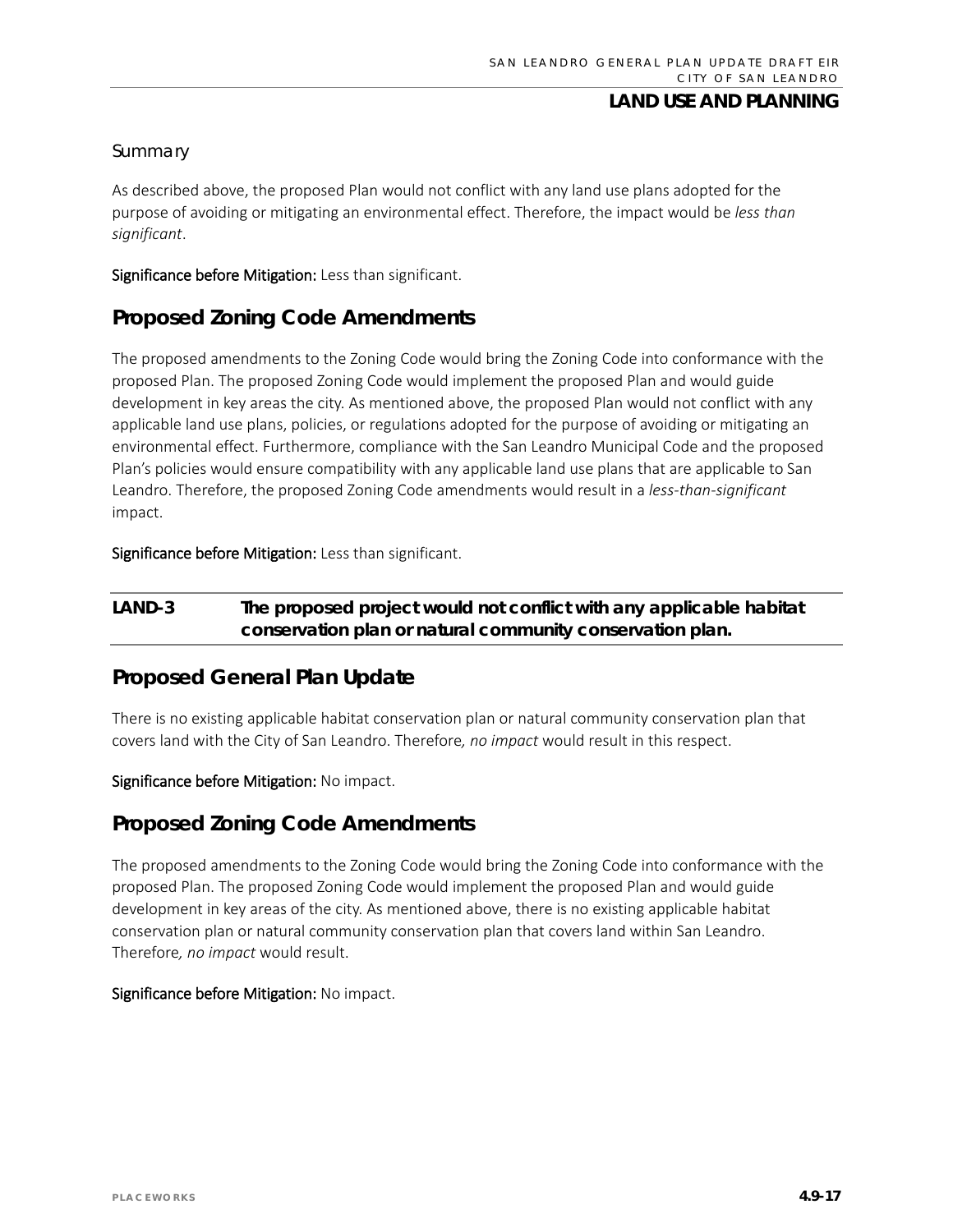#### *Summary*

As described above, the proposed Plan would not conflict with any land use plans adopted for the purpose of avoiding or mitigating an environmental effect. Therefore, the impact would be *less than significant*.

Significance before Mitigation: Less than significant.

### **Proposed Zoning Code Amendments**

The proposed amendments to the Zoning Code would bring the Zoning Code into conformance with the proposed Plan. The proposed Zoning Code would implement the proposed Plan and would guide development in key areas the city. As mentioned above, the proposed Plan would not conflict with any applicable land use plans, policies, or regulations adopted for the purpose of avoiding or mitigating an environmental effect. Furthermore, compliance with the San Leandro Municipal Code and the proposed Plan's policies would ensure compatibility with any applicable land use plans that are applicable to San Leandro. Therefore, the proposed Zoning Code amendments would result in a *less-than-significant* impact.

Significance before Mitigation: Less than significant.

### **LAND-3 The proposed project would not conflict with any applicable habitat conservation plan or natural community conservation plan.**

### **Proposed General Plan Update**

There is no existing applicable habitat conservation plan or natural community conservation plan that covers land with the City of San Leandro. Therefore*, no impact* would result in this respect.

Significance before Mitigation: No impact.

### **Proposed Zoning Code Amendments**

The proposed amendments to the Zoning Code would bring the Zoning Code into conformance with the proposed Plan. The proposed Zoning Code would implement the proposed Plan and would guide development in key areas of the city. As mentioned above, there is no existing applicable habitat conservation plan or natural community conservation plan that covers land within San Leandro. Therefore*, no impact* would result.

#### Significance before Mitigation: No impact.